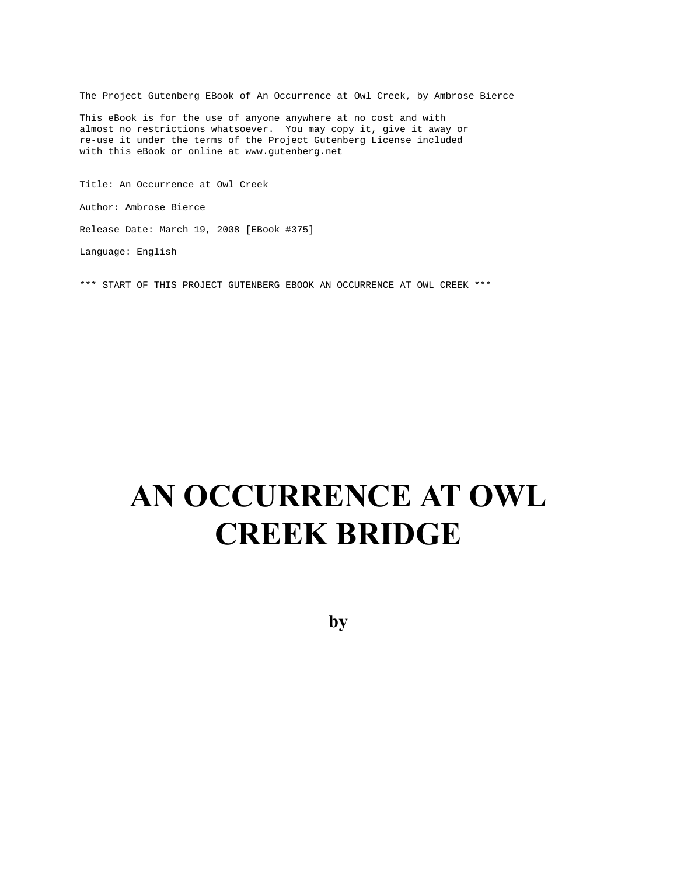The Project Gutenberg EBook of An Occurrence at Owl Creek, by Ambrose Bierce

This eBook is for the use of anyone anywhere at no cost and with almost no restrictions whatsoever. You may copy it, give it away or re-use it under the terms of the Project Gutenberg License included with this eBook or online at www.gutenberg.net

Title: An Occurrence at Owl Creek Author: Ambrose Bierce Release Date: March 19, 2008 [EBook #375] Language: English

\*\*\* START OF THIS PROJECT GUTENBERG EBOOK AN OCCURRENCE AT OWL CREEK \*\*\*

# **AN OCCURRENCE AT OWL CREEK BRIDGE**

**by**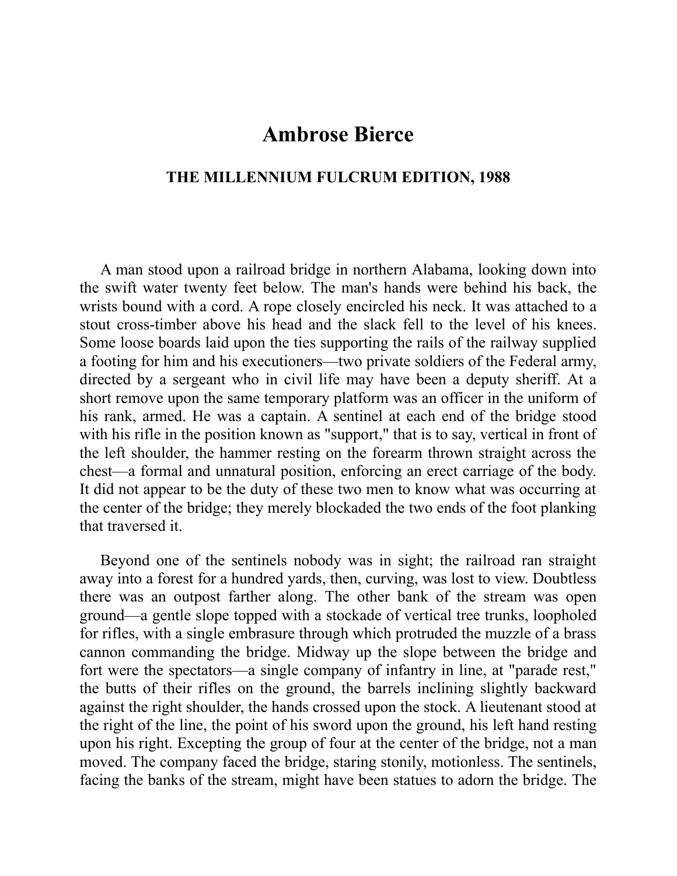## **Ambrose Bierce**

## **THE MILLENNIUM FULCRUM EDITION, 1988**

A man stood upon a railroad bridge in northern Alabama, looking down into the swift water twenty feet below. The man's hands were behind his back, the wrists bound with a cord. A rope closely encircled his neck. It was attached to a stout cross-timber above his head and the slack fell to the level of his knees. Some loose boards laid upon the ties supporting the rails of the railway supplied a footing for him and his executioners—two private soldiers of the Federal army, directed by a sergeant who in civil life may have been a deputy sheriff. At a short remove upon the same temporary platform was an officer in the uniform of his rank, armed. He was a captain. A sentinel at each end of the bridge stood with his rifle in the position known as "support," that is to say, vertical in front of the left shoulder, the hammer resting on the forearm thrown straight across the chest—a formal and unnatural position, enforcing an erect carriage of the body. It did not appear to be the duty of these two men to know what was occurring at the center of the bridge; they merely blockaded the two ends of the foot planking that traversed it.

Beyond one of the sentinels nobody was in sight; the railroad ran straight away into a forest for a hundred yards, then, curving, was lost to view. Doubtless there was an outpost farther along. The other bank of the stream was open ground—a gentle slope topped with a stockade of vertical tree trunks, loopholed for rifles, with a single embrasure through which protruded the muzzle of a brass cannon commanding the bridge. Midway up the slope between the bridge and fort were the spectators—a single company of infantry in line, at "parade rest," the butts of their rifles on the ground, the barrels inclining slightly backward against the right shoulder, the hands crossed upon the stock. A lieutenant stood at the right of the line, the point of his sword upon the ground, his left hand resting upon his right. Excepting the group of four at the center of the bridge, not a man moved. The company faced the bridge, staring stonily, motionless. The sentinels, facing the banks of the stream, might have been statues to adorn the bridge. The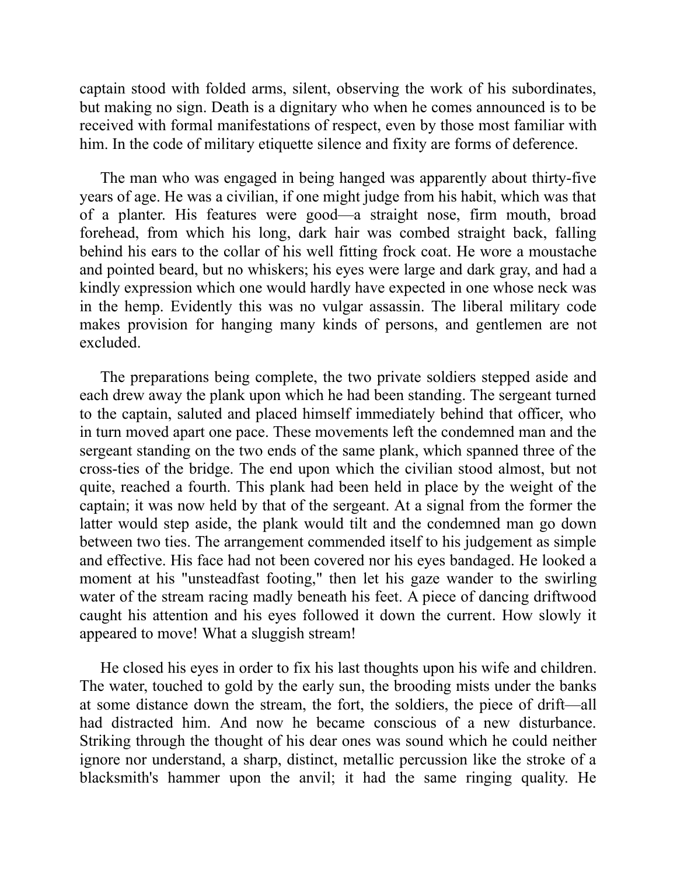captain stood with folded arms, silent, observing the work of his subordinates, but making no sign. Death is a dignitary who when he comes announced is to be received with formal manifestations of respect, even by those most familiar with him. In the code of military etiquette silence and fixity are forms of deference.

The man who was engaged in being hanged was apparently about thirty-five years of age. He was a civilian, if one might judge from his habit, which was that of a planter. His features were good—a straight nose, firm mouth, broad forehead, from which his long, dark hair was combed straight back, falling behind his ears to the collar of his well fitting frock coat. He wore a moustache and pointed beard, but no whiskers; his eyes were large and dark gray, and had a kindly expression which one would hardly have expected in one whose neck was in the hemp. Evidently this was no vulgar assassin. The liberal military code makes provision for hanging many kinds of persons, and gentlemen are not excluded.

The preparations being complete, the two private soldiers stepped aside and each drew away the plank upon which he had been standing. The sergeant turned to the captain, saluted and placed himself immediately behind that officer, who in turn moved apart one pace. These movements left the condemned man and the sergeant standing on the two ends of the same plank, which spanned three of the cross-ties of the bridge. The end upon which the civilian stood almost, but not quite, reached a fourth. This plank had been held in place by the weight of the captain; it was now held by that of the sergeant. At a signal from the former the latter would step aside, the plank would tilt and the condemned man go down between two ties. The arrangement commended itself to his judgement as simple and effective. His face had not been covered nor his eyes bandaged. He looked a moment at his "unsteadfast footing," then let his gaze wander to the swirling water of the stream racing madly beneath his feet. A piece of dancing driftwood caught his attention and his eyes followed it down the current. How slowly it appeared to move! What a sluggish stream!

He closed his eyes in order to fix his last thoughts upon his wife and children. The water, touched to gold by the early sun, the brooding mists under the banks at some distance down the stream, the fort, the soldiers, the piece of drift—all had distracted him. And now he became conscious of a new disturbance. Striking through the thought of his dear ones was sound which he could neither ignore nor understand, a sharp, distinct, metallic percussion like the stroke of a blacksmith's hammer upon the anvil; it had the same ringing quality. He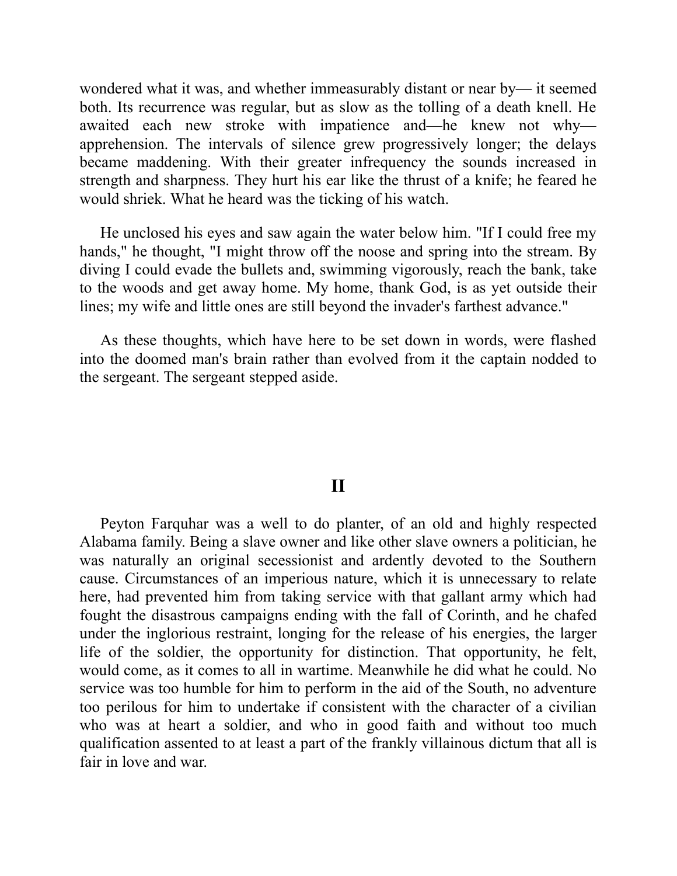wondered what it was, and whether immeasurably distant or near by— it seemed both. Its recurrence was regular, but as slow as the tolling of a death knell. He awaited each new stroke with impatience and—he knew not why apprehension. The intervals of silence grew progressively longer; the delays became maddening. With their greater infrequency the sounds increased in strength and sharpness. They hurt his ear like the thrust of a knife; he feared he would shriek. What he heard was the ticking of his watch.

He unclosed his eyes and saw again the water below him. "If I could free my hands," he thought, "I might throw off the noose and spring into the stream. By diving I could evade the bullets and, swimming vigorously, reach the bank, take to the woods and get away home. My home, thank God, is as yet outside their lines; my wife and little ones are still beyond the invader's farthest advance."

As these thoughts, which have here to be set down in words, were flashed into the doomed man's brain rather than evolved from it the captain nodded to the sergeant. The sergeant stepped aside.

## **II**

Peyton Farquhar was a well to do planter, of an old and highly respected Alabama family. Being a slave owner and like other slave owners a politician, he was naturally an original secessionist and ardently devoted to the Southern cause. Circumstances of an imperious nature, which it is unnecessary to relate here, had prevented him from taking service with that gallant army which had fought the disastrous campaigns ending with the fall of Corinth, and he chafed under the inglorious restraint, longing for the release of his energies, the larger life of the soldier, the opportunity for distinction. That opportunity, he felt, would come, as it comes to all in wartime. Meanwhile he did what he could. No service was too humble for him to perform in the aid of the South, no adventure too perilous for him to undertake if consistent with the character of a civilian who was at heart a soldier, and who in good faith and without too much qualification assented to at least a part of the frankly villainous dictum that all is fair in love and war.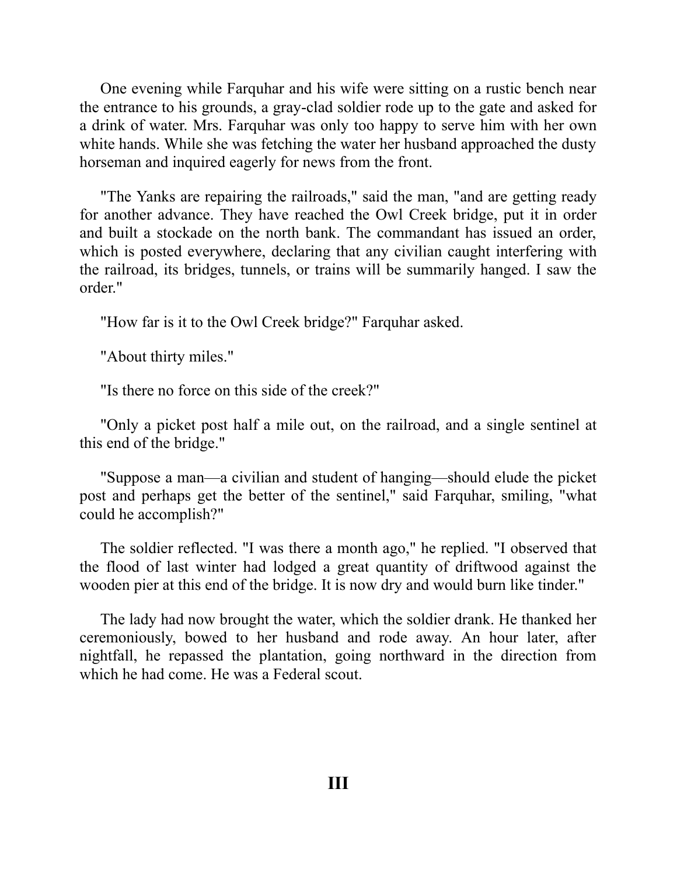One evening while Farquhar and his wife were sitting on a rustic bench near the entrance to his grounds, a gray-clad soldier rode up to the gate and asked for a drink of water. Mrs. Farquhar was only too happy to serve him with her own white hands. While she was fetching the water her husband approached the dusty horseman and inquired eagerly for news from the front.

"The Yanks are repairing the railroads," said the man, "and are getting ready for another advance. They have reached the Owl Creek bridge, put it in order and built a stockade on the north bank. The commandant has issued an order, which is posted everywhere, declaring that any civilian caught interfering with the railroad, its bridges, tunnels, or trains will be summarily hanged. I saw the order"

"How far is it to the Owl Creek bridge?" Farquhar asked.

"About thirty miles."

"Is there no force on this side of the creek?"

"Only a picket post half a mile out, on the railroad, and a single sentinel at this end of the bridge."

"Suppose a man—a civilian and student of hanging—should elude the picket post and perhaps get the better of the sentinel," said Farquhar, smiling, "what could he accomplish?"

The soldier reflected. "I was there a month ago," he replied. "I observed that the flood of last winter had lodged a great quantity of driftwood against the wooden pier at this end of the bridge. It is now dry and would burn like tinder."

The lady had now brought the water, which the soldier drank. He thanked her ceremoniously, bowed to her husband and rode away. An hour later, after nightfall, he repassed the plantation, going northward in the direction from which he had come. He was a Federal scout.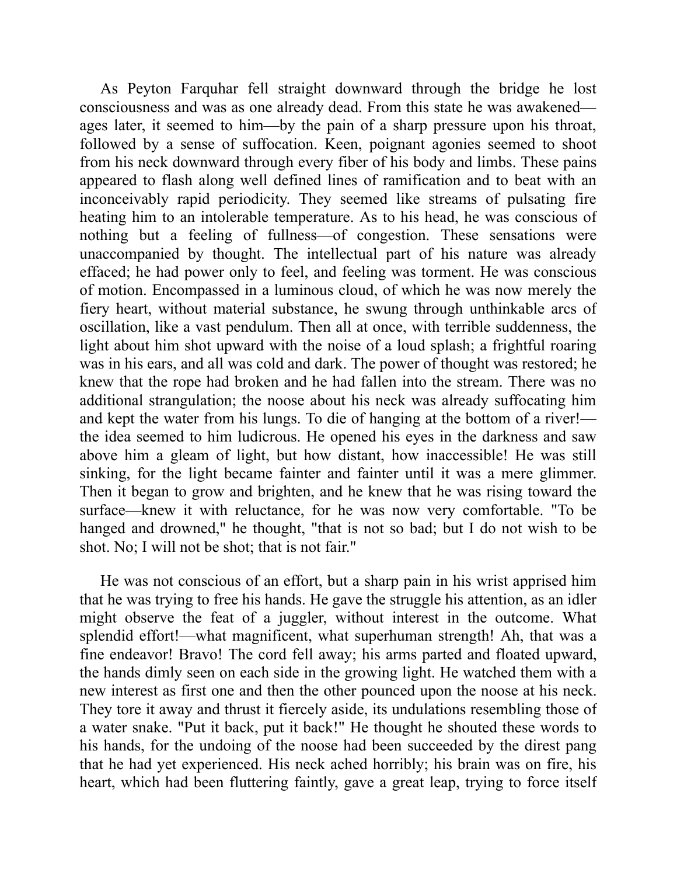As Peyton Farquhar fell straight downward through the bridge he lost consciousness and was as one already dead. From this state he was awakened ages later, it seemed to him—by the pain of a sharp pressure upon his throat, followed by a sense of suffocation. Keen, poignant agonies seemed to shoot from his neck downward through every fiber of his body and limbs. These pains appeared to flash along well defined lines of ramification and to beat with an inconceivably rapid periodicity. They seemed like streams of pulsating fire heating him to an intolerable temperature. As to his head, he was conscious of nothing but a feeling of fullness—of congestion. These sensations were unaccompanied by thought. The intellectual part of his nature was already effaced; he had power only to feel, and feeling was torment. He was conscious of motion. Encompassed in a luminous cloud, of which he was now merely the fiery heart, without material substance, he swung through unthinkable arcs of oscillation, like a vast pendulum. Then all at once, with terrible suddenness, the light about him shot upward with the noise of a loud splash; a frightful roaring was in his ears, and all was cold and dark. The power of thought was restored; he knew that the rope had broken and he had fallen into the stream. There was no additional strangulation; the noose about his neck was already suffocating him and kept the water from his lungs. To die of hanging at the bottom of a river! the idea seemed to him ludicrous. He opened his eyes in the darkness and saw above him a gleam of light, but how distant, how inaccessible! He was still sinking, for the light became fainter and fainter until it was a mere glimmer. Then it began to grow and brighten, and he knew that he was rising toward the surface—knew it with reluctance, for he was now very comfortable. "To be hanged and drowned," he thought, "that is not so bad; but I do not wish to be shot. No; I will not be shot; that is not fair."

He was not conscious of an effort, but a sharp pain in his wrist apprised him that he was trying to free his hands. He gave the struggle his attention, as an idler might observe the feat of a juggler, without interest in the outcome. What splendid effort!—what magnificent, what superhuman strength! Ah, that was a fine endeavor! Bravo! The cord fell away; his arms parted and floated upward, the hands dimly seen on each side in the growing light. He watched them with a new interest as first one and then the other pounced upon the noose at his neck. They tore it away and thrust it fiercely aside, its undulations resembling those of a water snake. "Put it back, put it back!" He thought he shouted these words to his hands, for the undoing of the noose had been succeeded by the direst pang that he had yet experienced. His neck ached horribly; his brain was on fire, his heart, which had been fluttering faintly, gave a great leap, trying to force itself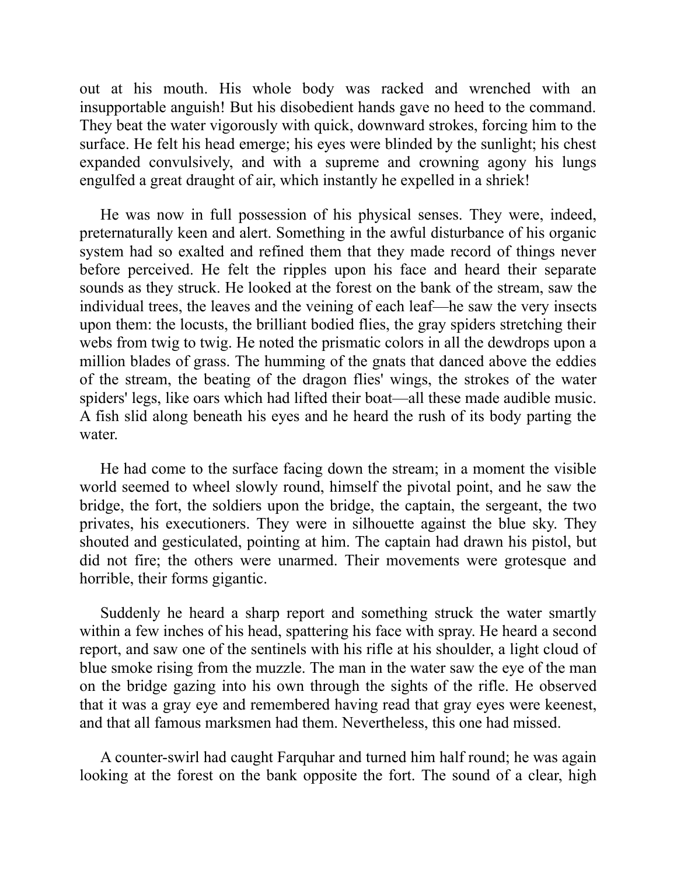out at his mouth. His whole body was racked and wrenched with an insupportable anguish! But his disobedient hands gave no heed to the command. They beat the water vigorously with quick, downward strokes, forcing him to the surface. He felt his head emerge; his eyes were blinded by the sunlight; his chest expanded convulsively, and with a supreme and crowning agony his lungs engulfed a great draught of air, which instantly he expelled in a shriek!

He was now in full possession of his physical senses. They were, indeed, preternaturally keen and alert. Something in the awful disturbance of his organic system had so exalted and refined them that they made record of things never before perceived. He felt the ripples upon his face and heard their separate sounds as they struck. He looked at the forest on the bank of the stream, saw the individual trees, the leaves and the veining of each leaf—he saw the very insects upon them: the locusts, the brilliant bodied flies, the gray spiders stretching their webs from twig to twig. He noted the prismatic colors in all the dewdrops upon a million blades of grass. The humming of the gnats that danced above the eddies of the stream, the beating of the dragon flies' wings, the strokes of the water spiders' legs, like oars which had lifted their boat—all these made audible music. A fish slid along beneath his eyes and he heard the rush of its body parting the water.

He had come to the surface facing down the stream; in a moment the visible world seemed to wheel slowly round, himself the pivotal point, and he saw the bridge, the fort, the soldiers upon the bridge, the captain, the sergeant, the two privates, his executioners. They were in silhouette against the blue sky. They shouted and gesticulated, pointing at him. The captain had drawn his pistol, but did not fire; the others were unarmed. Their movements were grotesque and horrible, their forms gigantic.

Suddenly he heard a sharp report and something struck the water smartly within a few inches of his head, spattering his face with spray. He heard a second report, and saw one of the sentinels with his rifle at his shoulder, a light cloud of blue smoke rising from the muzzle. The man in the water saw the eye of the man on the bridge gazing into his own through the sights of the rifle. He observed that it was a gray eye and remembered having read that gray eyes were keenest, and that all famous marksmen had them. Nevertheless, this one had missed.

A counter-swirl had caught Farquhar and turned him half round; he was again looking at the forest on the bank opposite the fort. The sound of a clear, high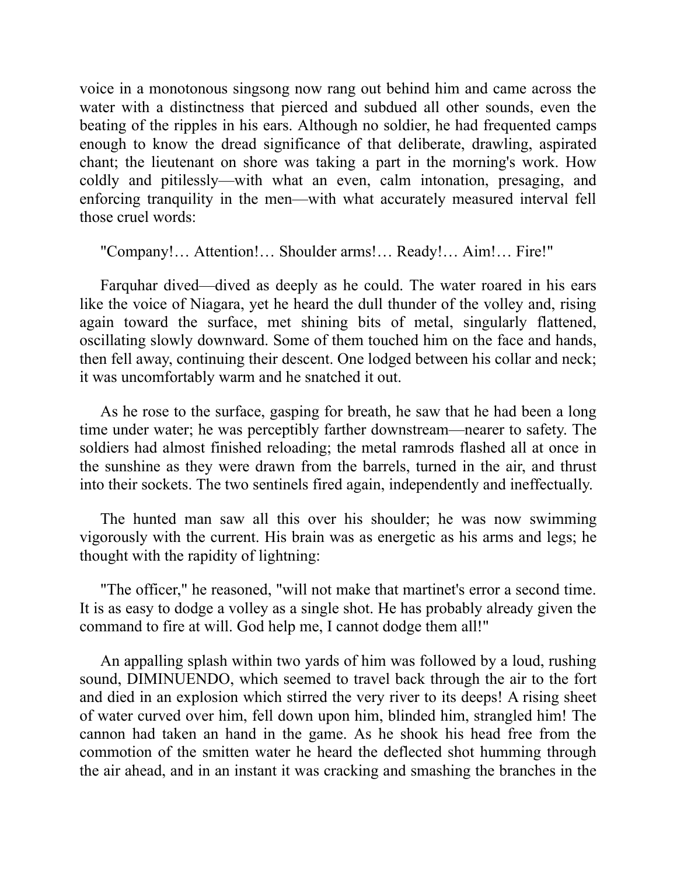voice in a monotonous singsong now rang out behind him and came across the water with a distinctness that pierced and subdued all other sounds, even the beating of the ripples in his ears. Although no soldier, he had frequented camps enough to know the dread significance of that deliberate, drawling, aspirated chant; the lieutenant on shore was taking a part in the morning's work. How coldly and pitilessly—with what an even, calm intonation, presaging, and enforcing tranquility in the men—with what accurately measured interval fell those cruel words:

"Company!… Attention!… Shoulder arms!… Ready!… Aim!… Fire!"

Farquhar dived—dived as deeply as he could. The water roared in his ears like the voice of Niagara, yet he heard the dull thunder of the volley and, rising again toward the surface, met shining bits of metal, singularly flattened, oscillating slowly downward. Some of them touched him on the face and hands, then fell away, continuing their descent. One lodged between his collar and neck; it was uncomfortably warm and he snatched it out.

As he rose to the surface, gasping for breath, he saw that he had been a long time under water; he was perceptibly farther downstream—nearer to safety. The soldiers had almost finished reloading; the metal ramrods flashed all at once in the sunshine as they were drawn from the barrels, turned in the air, and thrust into their sockets. The two sentinels fired again, independently and ineffectually.

The hunted man saw all this over his shoulder; he was now swimming vigorously with the current. His brain was as energetic as his arms and legs; he thought with the rapidity of lightning:

"The officer," he reasoned, "will not make that martinet's error a second time. It is as easy to dodge a volley as a single shot. He has probably already given the command to fire at will. God help me, I cannot dodge them all!"

An appalling splash within two yards of him was followed by a loud, rushing sound, DIMINUENDO, which seemed to travel back through the air to the fort and died in an explosion which stirred the very river to its deeps! A rising sheet of water curved over him, fell down upon him, blinded him, strangled him! The cannon had taken an hand in the game. As he shook his head free from the commotion of the smitten water he heard the deflected shot humming through the air ahead, and in an instant it was cracking and smashing the branches in the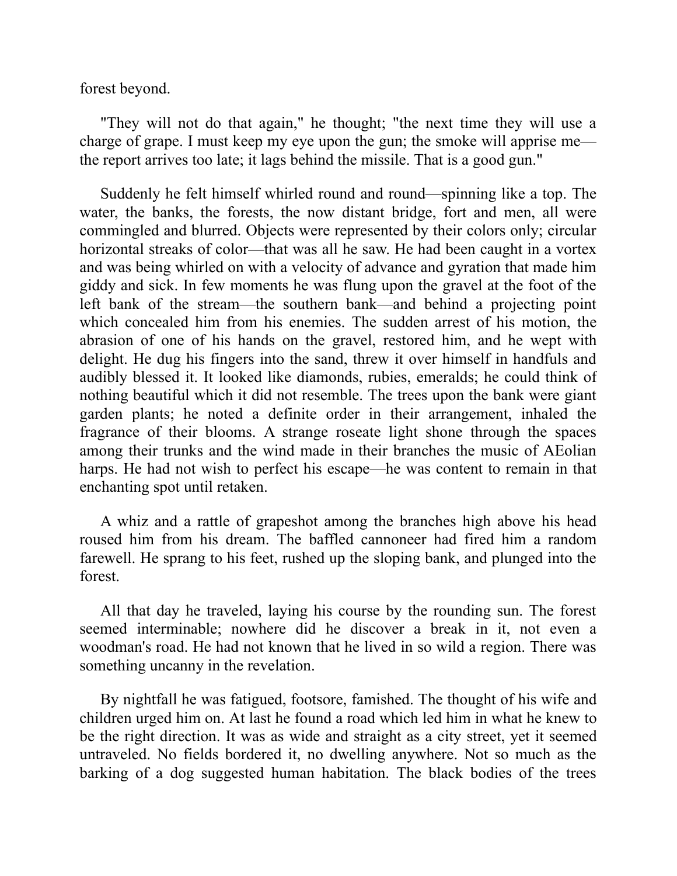forest beyond.

"They will not do that again," he thought; "the next time they will use a charge of grape. I must keep my eye upon the gun; the smoke will apprise me the report arrives too late; it lags behind the missile. That is a good gun."

Suddenly he felt himself whirled round and round—spinning like a top. The water, the banks, the forests, the now distant bridge, fort and men, all were commingled and blurred. Objects were represented by their colors only; circular horizontal streaks of color—that was all he saw. He had been caught in a vortex and was being whirled on with a velocity of advance and gyration that made him giddy and sick. In few moments he was flung upon the gravel at the foot of the left bank of the stream—the southern bank—and behind a projecting point which concealed him from his enemies. The sudden arrest of his motion, the abrasion of one of his hands on the gravel, restored him, and he wept with delight. He dug his fingers into the sand, threw it over himself in handfuls and audibly blessed it. It looked like diamonds, rubies, emeralds; he could think of nothing beautiful which it did not resemble. The trees upon the bank were giant garden plants; he noted a definite order in their arrangement, inhaled the fragrance of their blooms. A strange roseate light shone through the spaces among their trunks and the wind made in their branches the music of AEolian harps. He had not wish to perfect his escape—he was content to remain in that enchanting spot until retaken.

A whiz and a rattle of grapeshot among the branches high above his head roused him from his dream. The baffled cannoneer had fired him a random farewell. He sprang to his feet, rushed up the sloping bank, and plunged into the forest.

All that day he traveled, laying his course by the rounding sun. The forest seemed interminable; nowhere did he discover a break in it, not even a woodman's road. He had not known that he lived in so wild a region. There was something uncanny in the revelation.

By nightfall he was fatigued, footsore, famished. The thought of his wife and children urged him on. At last he found a road which led him in what he knew to be the right direction. It was as wide and straight as a city street, yet it seemed untraveled. No fields bordered it, no dwelling anywhere. Not so much as the barking of a dog suggested human habitation. The black bodies of the trees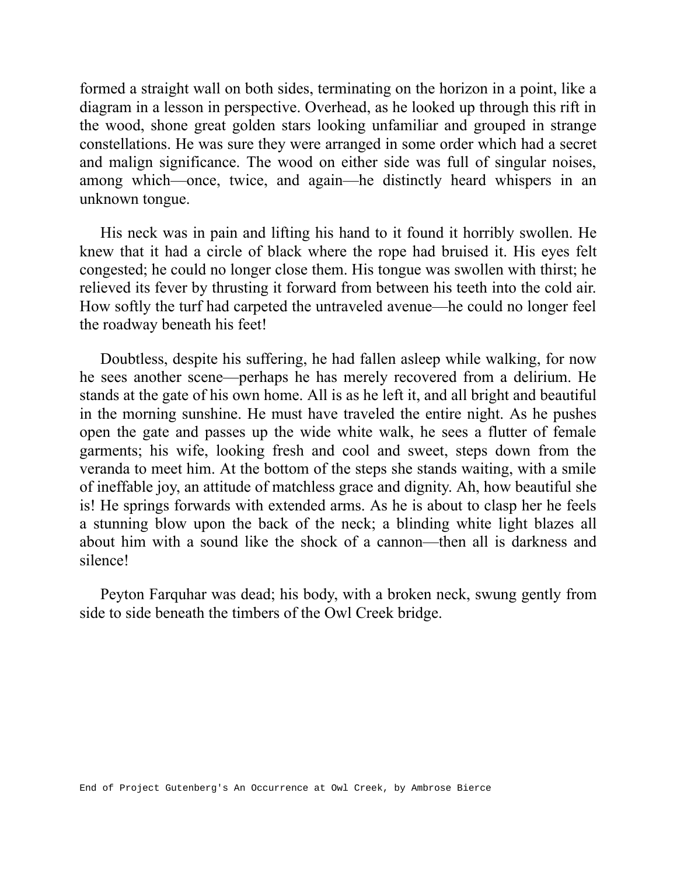formed a straight wall on both sides, terminating on the horizon in a point, like a diagram in a lesson in perspective. Overhead, as he looked up through this rift in the wood, shone great golden stars looking unfamiliar and grouped in strange constellations. He was sure they were arranged in some order which had a secret and malign significance. The wood on either side was full of singular noises, among which—once, twice, and again—he distinctly heard whispers in an unknown tongue.

His neck was in pain and lifting his hand to it found it horribly swollen. He knew that it had a circle of black where the rope had bruised it. His eyes felt congested; he could no longer close them. His tongue was swollen with thirst; he relieved its fever by thrusting it forward from between his teeth into the cold air. How softly the turf had carpeted the untraveled avenue—he could no longer feel the roadway beneath his feet!

Doubtless, despite his suffering, he had fallen asleep while walking, for now he sees another scene—perhaps he has merely recovered from a delirium. He stands at the gate of his own home. All is as he left it, and all bright and beautiful in the morning sunshine. He must have traveled the entire night. As he pushes open the gate and passes up the wide white walk, he sees a flutter of female garments; his wife, looking fresh and cool and sweet, steps down from the veranda to meet him. At the bottom of the steps she stands waiting, with a smile of ineffable joy, an attitude of matchless grace and dignity. Ah, how beautiful she is! He springs forwards with extended arms. As he is about to clasp her he feels a stunning blow upon the back of the neck; a blinding white light blazes all about him with a sound like the shock of a cannon—then all is darkness and silence!

Peyton Farquhar was dead; his body, with a broken neck, swung gently from side to side beneath the timbers of the Owl Creek bridge.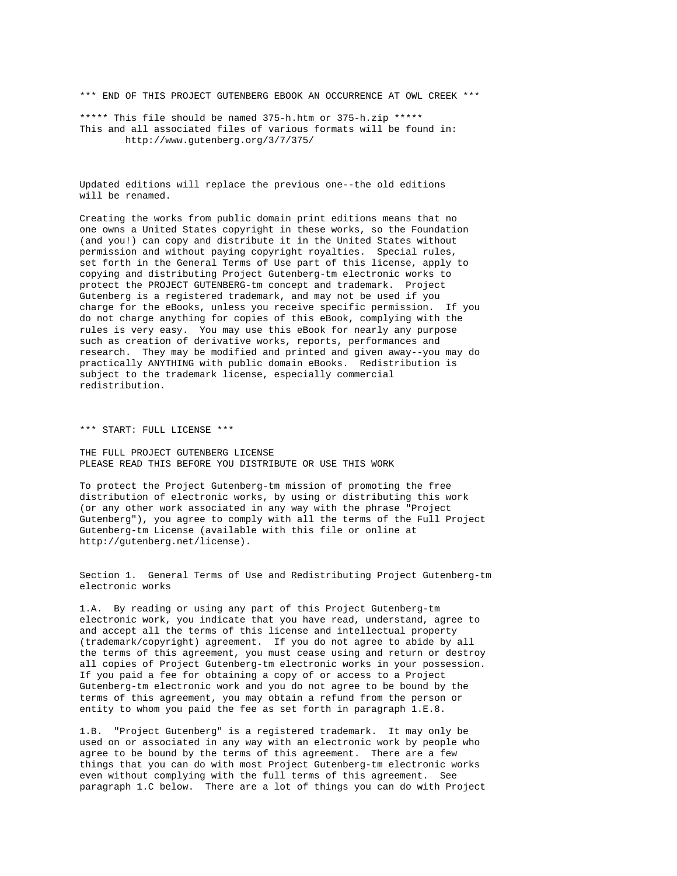\*\*\* END OF THIS PROJECT GUTENBERG EBOOK AN OCCURRENCE AT OWL CREEK \*\*\*

\*\*\*\*\* This file should be named 375-h.htm or 375-h.zip \*\*\*\*\* This and all associated files of various formats will be found in: http://www.gutenberg.org/3/7/375/

Updated editions will replace the previous one--the old editions will be renamed.

Creating the works from public domain print editions means that no one owns a United States copyright in these works, so the Foundation (and you!) can copy and distribute it in the United States without permission and without paying copyright royalties. Special rules, set forth in the General Terms of Use part of this license, apply to copying and distributing Project Gutenberg-tm electronic works to protect the PROJECT GUTENBERG-tm concept and trademark. Project Gutenberg is a registered trademark, and may not be used if you charge for the eBooks, unless you receive specific permission. If you do not charge anything for copies of this eBook, complying with the rules is very easy. You may use this eBook for nearly any purpose such as creation of derivative works, reports, performances and research. They may be modified and printed and given away--you may do practically ANYTHING with public domain eBooks. Redistribution is subject to the trademark license, especially commercial redistribution.

\*\*\* START: FULL LICENSE \*\*\*

THE FULL PROJECT GUTENBERG LICENSE PLEASE READ THIS BEFORE YOU DISTRIBUTE OR USE THIS WORK

To protect the Project Gutenberg-tm mission of promoting the free distribution of electronic works, by using or distributing this work (or any other work associated in any way with the phrase "Project Gutenberg"), you agree to comply with all the terms of the Full Project Gutenberg-tm License (available with this file or online at http://gutenberg.net/license).

Section 1. General Terms of Use and Redistributing Project Gutenberg-tm electronic works

1.A. By reading or using any part of this Project Gutenberg-tm electronic work, you indicate that you have read, understand, agree to and accept all the terms of this license and intellectual property (trademark/copyright) agreement. If you do not agree to abide by all the terms of this agreement, you must cease using and return or destroy all copies of Project Gutenberg-tm electronic works in your possession. If you paid a fee for obtaining a copy of or access to a Project Gutenberg-tm electronic work and you do not agree to be bound by the terms of this agreement, you may obtain a refund from the person or entity to whom you paid the fee as set forth in paragraph 1.E.8.

1.B. "Project Gutenberg" is a registered trademark. It may only be used on or associated in any way with an electronic work by people who agree to be bound by the terms of this agreement. There are a few things that you can do with most Project Gutenberg-tm electronic works even without complying with the full terms of this agreement. See paragraph 1.C below. There are a lot of things you can do with Project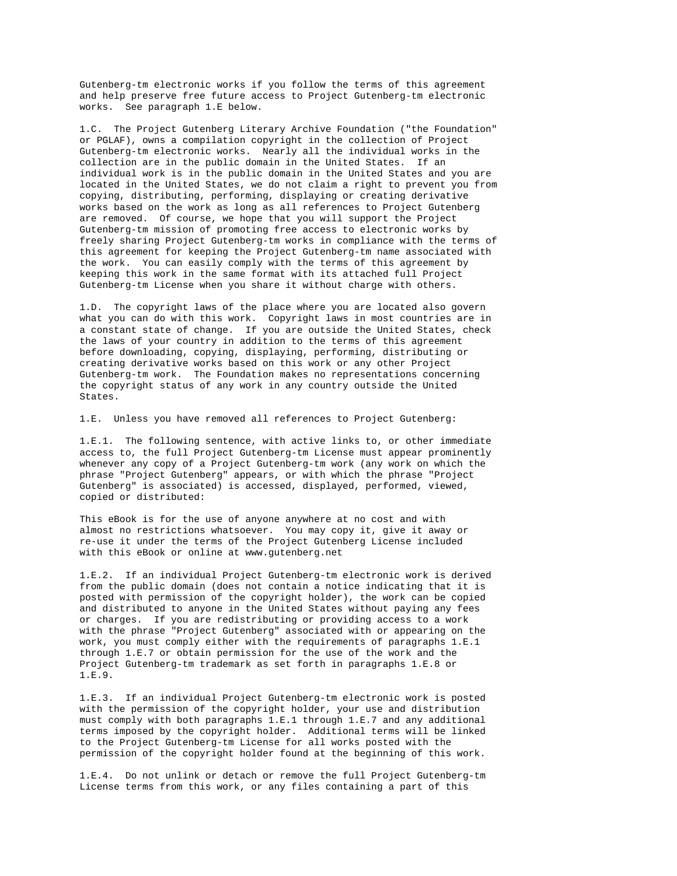Gutenberg-tm electronic works if you follow the terms of this agreement and help preserve free future access to Project Gutenberg-tm electronic works. See paragraph 1.E below.

1.C. The Project Gutenberg Literary Archive Foundation ("the Foundation" or PGLAF), owns a compilation copyright in the collection of Project Gutenberg-tm electronic works. Nearly all the individual works in the collection are in the public domain in the United States. If an individual work is in the public domain in the United States and you are located in the United States, we do not claim a right to prevent you from copying, distributing, performing, displaying or creating derivative works based on the work as long as all references to Project Gutenberg are removed. Of course, we hope that you will support the Project Gutenberg-tm mission of promoting free access to electronic works by freely sharing Project Gutenberg-tm works in compliance with the terms of this agreement for keeping the Project Gutenberg-tm name associated with the work. You can easily comply with the terms of this agreement by keeping this work in the same format with its attached full Project Gutenberg-tm License when you share it without charge with others.

1.D. The copyright laws of the place where you are located also govern what you can do with this work. Copyright laws in most countries are in a constant state of change. If you are outside the United States, check the laws of your country in addition to the terms of this agreement before downloading, copying, displaying, performing, distributing or creating derivative works based on this work or any other Project Gutenberg-tm work. The Foundation makes no representations concerning the copyright status of any work in any country outside the United States.

1.E. Unless you have removed all references to Project Gutenberg:

1.E.1. The following sentence, with active links to, or other immediate access to, the full Project Gutenberg-tm License must appear prominently whenever any copy of a Project Gutenberg-tm work (any work on which the phrase "Project Gutenberg" appears, or with which the phrase "Project Gutenberg" is associated) is accessed, displayed, performed, viewed, copied or distributed:

This eBook is for the use of anyone anywhere at no cost and with almost no restrictions whatsoever. You may copy it, give it away or re-use it under the terms of the Project Gutenberg License included with this eBook or online at www.gutenberg.net

1.E.2. If an individual Project Gutenberg-tm electronic work is derived from the public domain (does not contain a notice indicating that it is posted with permission of the copyright holder), the work can be copied and distributed to anyone in the United States without paying any fees or charges. If you are redistributing or providing access to a work with the phrase "Project Gutenberg" associated with or appearing on the work, you must comply either with the requirements of paragraphs 1.E.1 through 1.E.7 or obtain permission for the use of the work and the Project Gutenberg-tm trademark as set forth in paragraphs 1.E.8 or 1.E.9.

1.E.3. If an individual Project Gutenberg-tm electronic work is posted with the permission of the copyright holder, your use and distribution must comply with both paragraphs 1.E.1 through 1.E.7 and any additional terms imposed by the copyright holder. Additional terms will be linked to the Project Gutenberg-tm License for all works posted with the permission of the copyright holder found at the beginning of this work.

1.E.4. Do not unlink or detach or remove the full Project Gutenberg-tm License terms from this work, or any files containing a part of this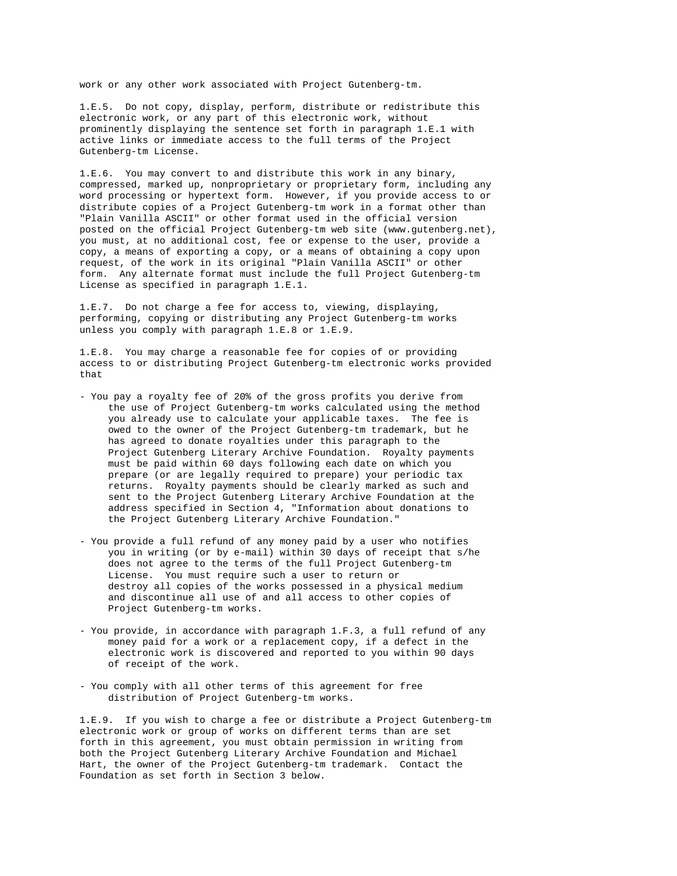work or any other work associated with Project Gutenberg-tm.

1.E.5. Do not copy, display, perform, distribute or redistribute this electronic work, or any part of this electronic work, without prominently displaying the sentence set forth in paragraph 1.E.1 with active links or immediate access to the full terms of the Project Gutenberg-tm License.

1.E.6. You may convert to and distribute this work in any binary, compressed, marked up, nonproprietary or proprietary form, including any word processing or hypertext form. However, if you provide access to or distribute copies of a Project Gutenberg-tm work in a format other than "Plain Vanilla ASCII" or other format used in the official version posted on the official Project Gutenberg-tm web site (www.gutenberg.net), you must, at no additional cost, fee or expense to the user, provide a copy, a means of exporting a copy, or a means of obtaining a copy upon request, of the work in its original "Plain Vanilla ASCII" or other form. Any alternate format must include the full Project Gutenberg-tm License as specified in paragraph 1.E.1.

1.E.7. Do not charge a fee for access to, viewing, displaying, performing, copying or distributing any Project Gutenberg-tm works unless you comply with paragraph 1.E.8 or 1.E.9.

1.E.8. You may charge a reasonable fee for copies of or providing access to or distributing Project Gutenberg-tm electronic works provided that

- You pay a royalty fee of 20% of the gross profits you derive from the use of Project Gutenberg-tm works calculated using the method you already use to calculate your applicable taxes. The fee is owed to the owner of the Project Gutenberg-tm trademark, but he has agreed to donate royalties under this paragraph to the Project Gutenberg Literary Archive Foundation. Royalty payments must be paid within 60 days following each date on which you prepare (or are legally required to prepare) your periodic tax returns. Royalty payments should be clearly marked as such and sent to the Project Gutenberg Literary Archive Foundation at the address specified in Section 4, "Information about donations to the Project Gutenberg Literary Archive Foundation."
- You provide a full refund of any money paid by a user who notifies you in writing (or by e-mail) within 30 days of receipt that s/he does not agree to the terms of the full Project Gutenberg-tm License. You must require such a user to return or destroy all copies of the works possessed in a physical medium and discontinue all use of and all access to other copies of Project Gutenberg-tm works.
- You provide, in accordance with paragraph 1.F.3, a full refund of any money paid for a work or a replacement copy, if a defect in the electronic work is discovered and reported to you within 90 days of receipt of the work.
- You comply with all other terms of this agreement for free distribution of Project Gutenberg-tm works.

1.E.9. If you wish to charge a fee or distribute a Project Gutenberg-tm electronic work or group of works on different terms than are set forth in this agreement, you must obtain permission in writing from both the Project Gutenberg Literary Archive Foundation and Michael Hart, the owner of the Project Gutenberg-tm trademark. Contact the Foundation as set forth in Section 3 below.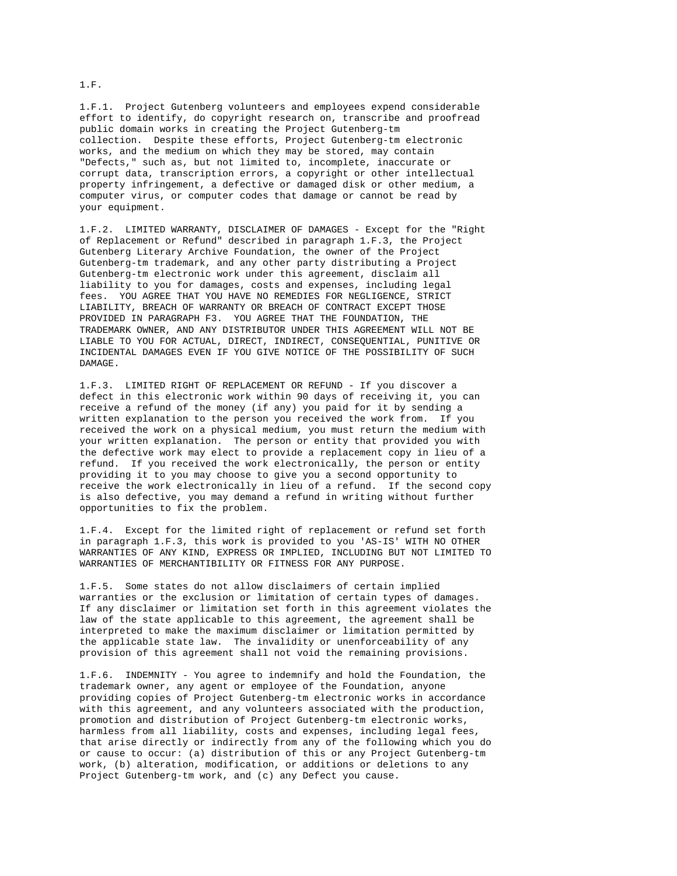1.F.1. Project Gutenberg volunteers and employees expend considerable effort to identify, do copyright research on, transcribe and proofread public domain works in creating the Project Gutenberg-tm collection. Despite these efforts, Project Gutenberg-tm electronic works, and the medium on which they may be stored, may contain "Defects," such as, but not limited to, incomplete, inaccurate or corrupt data, transcription errors, a copyright or other intellectual property infringement, a defective or damaged disk or other medium, a computer virus, or computer codes that damage or cannot be read by your equipment.

1.F.2. LIMITED WARRANTY, DISCLAIMER OF DAMAGES - Except for the "Right of Replacement or Refund" described in paragraph 1.F.3, the Project Gutenberg Literary Archive Foundation, the owner of the Project Gutenberg-tm trademark, and any other party distributing a Project Gutenberg-tm electronic work under this agreement, disclaim all liability to you for damages, costs and expenses, including legal fees. YOU AGREE THAT YOU HAVE NO REMEDIES FOR NEGLIGENCE, STRICT LIABILITY, BREACH OF WARRANTY OR BREACH OF CONTRACT EXCEPT THOSE PROVIDED IN PARAGRAPH F3. YOU AGREE THAT THE FOUNDATION, THE TRADEMARK OWNER, AND ANY DISTRIBUTOR UNDER THIS AGREEMENT WILL NOT BE LIABLE TO YOU FOR ACTUAL, DIRECT, INDIRECT, CONSEQUENTIAL, PUNITIVE OR INCIDENTAL DAMAGES EVEN IF YOU GIVE NOTICE OF THE POSSIBILITY OF SUCH DAMAGE.

1.F.3. LIMITED RIGHT OF REPLACEMENT OR REFUND - If you discover a defect in this electronic work within 90 days of receiving it, you can receive a refund of the money (if any) you paid for it by sending a written explanation to the person you received the work from. If you received the work on a physical medium, you must return the medium with your written explanation. The person or entity that provided you with the defective work may elect to provide a replacement copy in lieu of a refund. If you received the work electronically, the person or entity providing it to you may choose to give you a second opportunity to receive the work electronically in lieu of a refund. If the second copy is also defective, you may demand a refund in writing without further opportunities to fix the problem.

1.F.4. Except for the limited right of replacement or refund set forth in paragraph 1.F.3, this work is provided to you 'AS-IS' WITH NO OTHER WARRANTIES OF ANY KIND, EXPRESS OR IMPLIED, INCLUDING BUT NOT LIMITED TO WARRANTIES OF MERCHANTIBILITY OR FITNESS FOR ANY PURPOSE.

1.F.5. Some states do not allow disclaimers of certain implied warranties or the exclusion or limitation of certain types of damages. If any disclaimer or limitation set forth in this agreement violates the law of the state applicable to this agreement, the agreement shall be interpreted to make the maximum disclaimer or limitation permitted by the applicable state law. The invalidity or unenforceability of any provision of this agreement shall not void the remaining provisions.

1.F.6. INDEMNITY - You agree to indemnify and hold the Foundation, the trademark owner, any agent or employee of the Foundation, anyone providing copies of Project Gutenberg-tm electronic works in accordance with this agreement, and any volunteers associated with the production, promotion and distribution of Project Gutenberg-tm electronic works, harmless from all liability, costs and expenses, including legal fees, that arise directly or indirectly from any of the following which you do or cause to occur: (a) distribution of this or any Project Gutenberg-tm work, (b) alteration, modification, or additions or deletions to any Project Gutenberg-tm work, and (c) any Defect you cause.

### 1.F.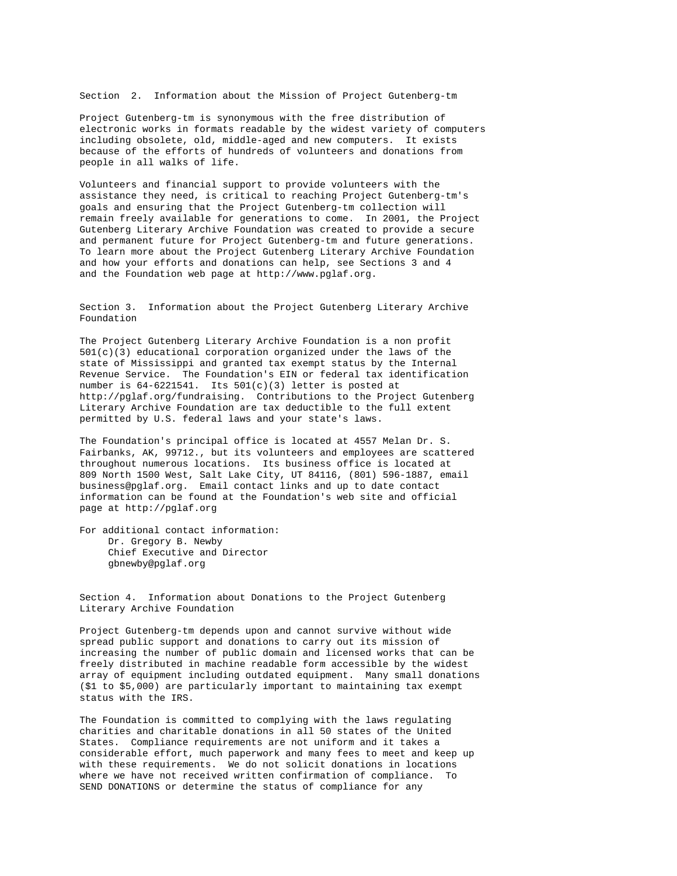Section 2. Information about the Mission of Project Gutenberg-tm

Project Gutenberg-tm is synonymous with the free distribution of electronic works in formats readable by the widest variety of computers including obsolete, old, middle-aged and new computers. It exists because of the efforts of hundreds of volunteers and donations from people in all walks of life.

Volunteers and financial support to provide volunteers with the assistance they need, is critical to reaching Project Gutenberg-tm's goals and ensuring that the Project Gutenberg-tm collection will remain freely available for generations to come. In 2001, the Project Gutenberg Literary Archive Foundation was created to provide a secure and permanent future for Project Gutenberg-tm and future generations. To learn more about the Project Gutenberg Literary Archive Foundation and how your efforts and donations can help, see Sections 3 and 4 and the Foundation web page at http://www.pglaf.org.

Section 3. Information about the Project Gutenberg Literary Archive Foundation

The Project Gutenberg Literary Archive Foundation is a non profit 501(c)(3) educational corporation organized under the laws of the state of Mississippi and granted tax exempt status by the Internal Revenue Service. The Foundation's EIN or federal tax identification number is  $64-6221541$ . Its  $501(c)(3)$  letter is posted at http://pglaf.org/fundraising. Contributions to the Project Gutenberg Literary Archive Foundation are tax deductible to the full extent permitted by U.S. federal laws and your state's laws.

The Foundation's principal office is located at 4557 Melan Dr. S. Fairbanks, AK, 99712., but its volunteers and employees are scattered throughout numerous locations. Its business office is located at 809 North 1500 West, Salt Lake City, UT 84116, (801) 596-1887, email business@pglaf.org. Email contact links and up to date contact information can be found at the Foundation's web site and official page at http://pglaf.org

For additional contact information: Dr. Gregory B. Newby Chief Executive and Director gbnewby@pglaf.org

Section 4. Information about Donations to the Project Gutenberg Literary Archive Foundation

Project Gutenberg-tm depends upon and cannot survive without wide spread public support and donations to carry out its mission of increasing the number of public domain and licensed works that can be freely distributed in machine readable form accessible by the widest array of equipment including outdated equipment. Many small donations (\$1 to \$5,000) are particularly important to maintaining tax exempt status with the IRS.

The Foundation is committed to complying with the laws regulating charities and charitable donations in all 50 states of the United States. Compliance requirements are not uniform and it takes a considerable effort, much paperwork and many fees to meet and keep up with these requirements. We do not solicit donations in locations where we have not received written confirmation of compliance. To SEND DONATIONS or determine the status of compliance for any